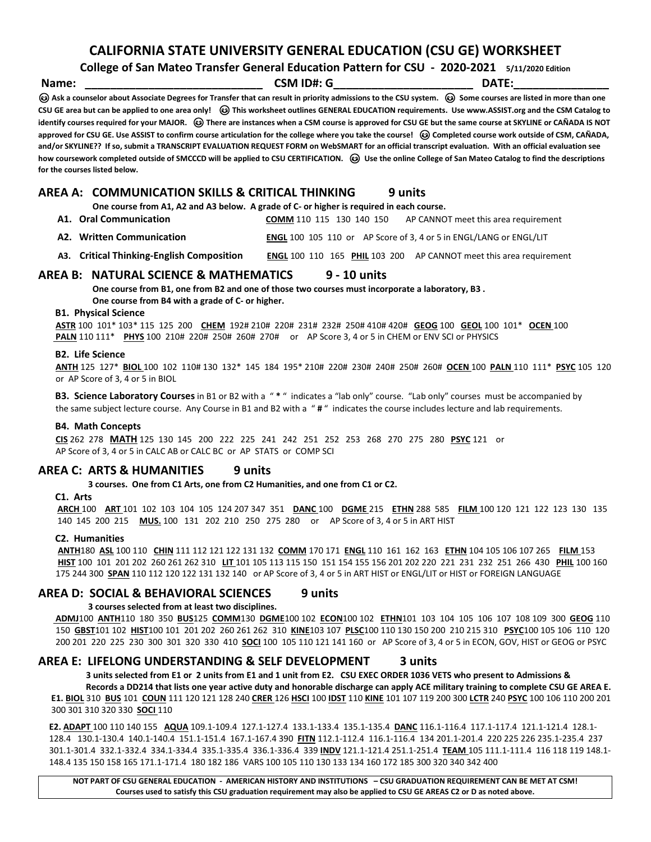**CALIFORNIA STATE UNIVERSITY GENERAL EDUCATION (CSU GE) WORKSHEET** 

**College of San Mateo Transfer General Education Pattern for CSU - 2020-2021 5/11/2020 Edition**

**Name: \_\_\_\_\_\_\_\_\_\_\_\_\_\_\_\_\_\_\_\_\_\_\_\_\_\_\_\_ CSM ID#: G\_\_\_\_\_\_\_\_\_\_\_\_\_\_\_\_\_\_\_\_\_\_ DATE:\_\_\_\_\_\_\_\_\_\_\_\_\_\_\_ Ask a counselor about Associate Degrees for Transfer that can result in priority admissions to the CSU system. Some courses are listed in more than one CSU GE area but can be applied to one area only! This worksheet outlines GENERAL EDUCATION requirements. Use www.ASSIST.org and the CSM Catalog to identify courses required for your MAJOR. There are instances when a CSM course is approved for CSU GE but the same course at SKYLINE or CAÑADA IS NOT approved for CSU GE. Use ASSIST to confirm course articulation for the college where you take the course! Completed course work outside of CSM, CAÑADA, and/or SKYLINE?? If so, submit a TRANSCRIPT EVALUATION REQUEST FORM on WebSMART for an official transcript evaluation. With an official evaluation see how coursework completed outside of SMCCCD will be applied to CSU CERTIFICATION. Use the online College of San Mateo Catalog to find the descriptions for the courses listed below.**

# **AREA A: COMMUNICATION SKILLS & CRITICAL THINKING** 9 units One course from A1, A2 and A3 below. A grade of C- or higher is required in each course.

- **A1. Oral Communication COMM** 110 115 130 140 150 AP CANNOT meet this area requirement
- **A2. Written Communication ENGL** 100 105 110 or AP Score of 3, 4 or 5 in ENGL/LANG or ENGL/LIT
- **A3. Critical Thinking-English Composition ENGL** 100 110 165 **PHIL** 103 200 AP CANNOT meet this area requirement

# **AREA B: NATURAL SCIENCE & MATHEMATICS 9 - <sup>10</sup> units One course from B1, one from B2 and one of those two courses must incorporate a laboratory, B3 .**

 **One course from B4 with a grade of C- or higher.**

### **B1. Physical Science**

 **ASTR** 100 101\* 103\* 115 125 200 **CHEM** 192# 210# 220# 231# 232# 250# 410# 420# **GEOG** 100 **GEOL** 100 101\* **OCEN** 100  **PALN** 110 111\* **PHYS** 100 210# 220# 250# 260# 270# or AP Score 3, 4 or 5 in CHEM or ENV SCI or PHYSICS

## **B2. Life Science**

 **ANTH** 125 127\* **BIOL** 100 102 110# 130 132\* 145 184 195\* 210# 220# 230# 240# 250# 260# **OCEN** 100 **PALN** 110 111\* **PSYC** 105 120 or AP Score of 3, 4 or 5 in BIOL

 **B3. Science Laboratory Courses** in B1 or B2 with a " **\*** " indicates a "lab only" course. "Lab only" courses must be accompanied by the same subject lecture course. Any Course in B1 and B2 with a " **#** " indicates the course includes lecture and lab requirements.

## **B4. Math Concepts**

 **CIS** 262 278 **MATH** 125 130 145 200 222 225 241 242 251 252 253 268 270 275 280 **PSYC** 121 or AP Score of 3, 4 or 5 in CALC AB or CALC BC or AP STATS or COMP SCI

**AREA C: ARTS & HUMANITIES 9 units 3 courses. One from C1 Arts, one from C2 Humanities, and one from C1 or C2.**

## **C1. Arts**

**ARCH** 100 **ART** 101 102 103 104 105 124 207 347 351 **DANC** 100 **DGME** 215 **ETHN** 288 585 **FILM** 100 120 121 122 123 130 135 140 145 200 215 **MUS.** 100 131 202 210 250 275 280 or AP Score of 3, 4 or 5 in ART HIST

### **C2. Humanities**

 **ANTH**180 **ASL** 100 110 **CHIN** 111 112 121 122 131 132 **COMM** 170 171 **ENGL** 110 161 162 163 **ETHN** 104 105 106 107 265 **FILM** 153  **HIST** 100 101 201 202 260 261 262 310 **LIT** 101 105 113 115 150 151 154 155 156 201 202 220 221 231 232 251 266 430 **PHIL** 100 160 175 244 300 **SPAN** 110 112 120 122 131 132 140 or AP Score of 3, 4 or 5 in ART HIST or ENGL/LIT or HIST or FOREIGN LANGUAGE

# **AREA D: SOCIAL & BEHAVIORAL SCIENCES 9 units 3 courses selected from at least two disciplines.**

 **ADMJ**100 **ANTH**110 180 350 **BUS**125 **COMM**130 **DGME**100 102 **ECON**100 102 **ETHN**101 103 104 105 106 107 108 109 300 **GEOG** 110 150 **GBST**101 102 **HIST**100 101 201 202 260 261 262 310 **KINE**103 107 **PLSC**100 110 130 150 200 210 215 310 **PSYC**100 105 106 110 120 200 201 220 225 230 300 301 320 330 410 **SOCI** 100 105 110 121 141 160 or AP Score of 3, 4 or 5 in ECON, GOV, HIST or GEOG or PSYC

**AREA E: LIFELONG UNDERSTANDING & SELF DEVELOPMENT 3 units 3 units selected from E1 or 2 units from E1 and 1 unit from E2. CSU EXEC ORDER 1036 VETS who present to Admissions &**

 **Records a DD214 that lists one year active duty and honorable discharge can apply ACE military training to complete CSU GE AREA E. E1. BIOL** 310 **BUS** 101 **COUN** 111 120 121 128 240 **CRER** 126 **HSCI** 100 **IDST** 110 **KINE** 101 107 119 200 300 **LCTR** 240 **PSYC** 100 106 110 200 201 300 301 310 320 330 **SOCI** 110

 **E2. ADAPT** 100 110 140 155 **AQUA** 109.1-109.4 127.1-127.4 133.1-133.4 135.1-135.4 **DANC** 116.1-116.4 117.1-117.4 121.1-121.4 128.1- 128.4 130.1-130.4 140.1-140.4 151.1-151.4 167.1-167.4 390 **FITN** 112.1-112.4 116.1-116.4 134 201.1-201.4 220 225 226 235.1-235.4 237 301.1-301.4 332.1-332.4 334.1-334.4 335.1-335.4 336.1-336.4 339 **INDV** 121.1-121.4 251.1-251.4 **TEAM** 105 111.1-111.4 116 118 119 148.1- 148.4 135 150 158 165 171.1-171.4 180 182 186 VARS 100 105 110 130 133 134 160 172 185 300 320 340 342 400

**NOT PART OF CSU GENERAL EDUCATION - AMERICAN HISTORY AND INSTITUTIONS – CSU GRADUATION REQUIREMENT CAN BE MET AT CSM! Courses used to satisfy this CSU graduation requirement may also be applied to CSU GE AREAS C2 or D as noted above.**